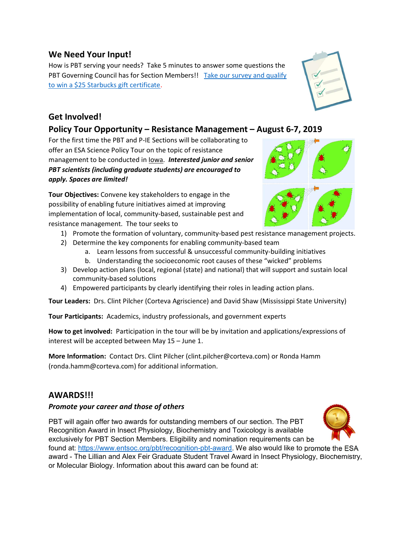## We Need Your Input!

How is PBT serving your needs? Take 5 minutes to answer some questions the PBT Governing Council has for Section Members!! Take our survey and qualify to win a \$25 Starbucks gift certificate.

# Get Involved!

## Policy Tour Opportunity – Resistance Management – August 6-7, 2019

For the first time the PBT and P-IE Sections will be collaborating to offer an ESA Science Policy Tour on the topic of resistance management to be conducted in Iowa. Interested junior and senior PBT scientists (including graduate students) are encouraged to apply. Spaces are limited!

Tour Objectives: Convene key stakeholders to engage in the possibility of enabling future initiatives aimed at improving implementation of local, community-based, sustainable pest and resistance management. The tour seeks to

- 1) Promote the formation of voluntary, community-based pest resistance management projects.
- 2) Determine the key components for enabling community-based team
	- a. Learn lessons from successful & unsuccessful community-building initiatives
	- b. Understanding the socioeconomic root causes of these "wicked" problems
- 3) Develop action plans (local, regional (state) and national) that will support and sustain local community-based solutions
- 4) Empowered participants by clearly identifying their roles in leading action plans.

Tour Leaders: Drs. Clint Pilcher (Corteva Agriscience) and David Shaw (Mississippi State University)

Tour Participants: Academics, industry professionals, and government experts

How to get involved: Participation in the tour will be by invitation and applications/expressions of interest will be accepted between May 15 – June 1.

More Information: Contact Drs. Clint Pilcher (clint.pilcher@corteva.com) or Ronda Hamm (ronda.hamm@corteva.com) for additional information.

## AWARDS!!!

### Promote your career and those of others

PBT will again offer two awards for outstanding members of our section. The PBT Recognition Award in Insect Physiology, Biochemistry and Toxicology is available exclusively for PBT Section Members. Eligibility and nomination requirements can be

found at: https://www.entsoc.org/pbt/recognition-pbt-award. We also would like to promote the ESA award - The Lillian and Alex Feir Graduate Student Travel Award in Insect Physiology, Biochemistry, or Molecular Biology. Information about this award can be found at:





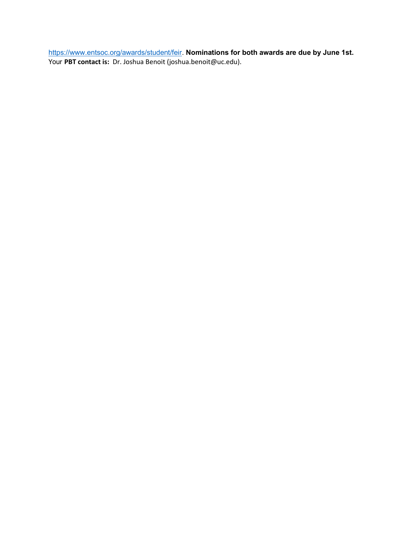https://www.entsoc.org/awards/student/feir. Nominations for both awards are due by June 1st. Your PBT contact is: Dr. Joshua Benoit (joshua.benoit@uc.edu).